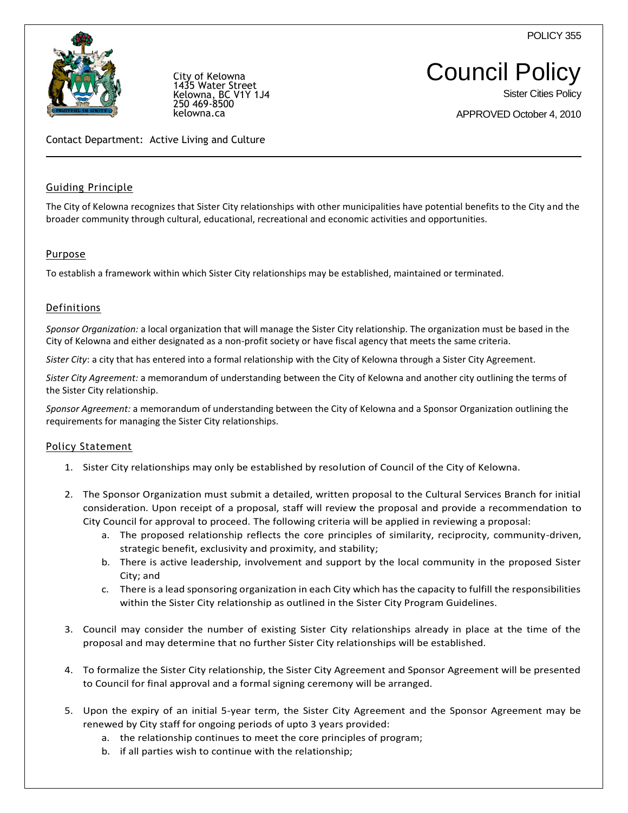POLICY 355



City of Kelowna 5 Water Street Kelowna, BC V1Y 1J4 250 469-8500 kelowna.ca

Sister Cities Policy

APPROVED October 4, 2010

Contact Department: Active Living and Culture

### Guiding Principle

The City of Kelowna recognizes that Sister City relationships with other municipalities have potential benefits to the City and the broader community through cultural, educational, recreational and economic activities and opportunities.

# **Purpose**

To establish a framework within which Sister City relationships may be established, maintained or terminated.

### Definitions

*Sponsor Organization:* a local organization that will manage the Sister City relationship. The organization must be based in the City of Kelowna and either designated as a non-profit society or have fiscal agency that meets the same criteria.

*Sister City*: a city that has entered into a formal relationship with the City of Kelowna through a Sister City Agreement.

*Sister City Agreement:* a memorandum of understanding between the City of Kelowna and another city outlining the terms of the Sister City relationship.

*Sponsor Agreement:* a memorandum of understanding between the City of Kelowna and a Sponsor Organization outlining the requirements for managing the Sister City relationships.

### Policy Statement

- 1. Sister City relationships may only be established by resolution of Council of the City of Kelowna.
- 2. The Sponsor Organization must submit a detailed, written proposal to the Cultural Services Branch for initial consideration. Upon receipt of a proposal, staff will review the proposal and provide a recommendation to City Council for approval to proceed. The following criteria will be applied in reviewing a proposal:
	- a. The proposed relationship reflects the core principles of similarity, reciprocity, community-driven, strategic benefit, exclusivity and proximity, and stability;
	- b. There is active leadership, involvement and support by the local community in the proposed Sister City; and
	- c. There is a lead sponsoring organization in each City which has the capacity to fulfill the responsibilities within the Sister City relationship as outlined in the Sister City Program Guidelines.
- 3. Council may consider the number of existing Sister City relationships already in place at the time of the proposal and may determine that no further Sister City relationships will be established.
- 4. To formalize the Sister City relationship, the Sister City Agreement and Sponsor Agreement will be presented to Council for final approval and a formal signing ceremony will be arranged.
- 5. Upon the expiry of an initial 5-year term, the Sister City Agreement and the Sponsor Agreement may be renewed by City staff for ongoing periods of upto 3 years provided:
	- a. the relationship continues to meet the core principles of program;
	- b. if all parties wish to continue with the relationship;